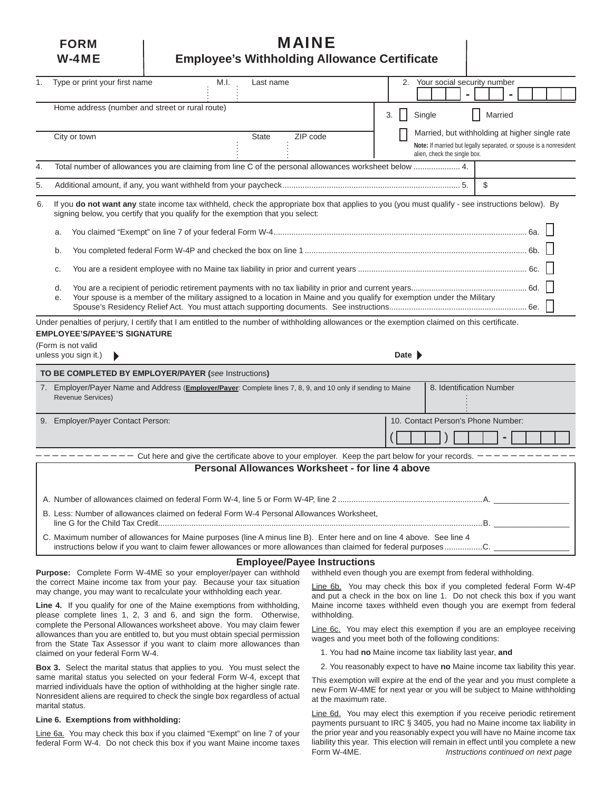# **FORM I MAINE W-4ME** | Employee's Withholding Allowance Certificate

| 1.                       | Type or print your first name<br>M.I.<br>Last name                                                                                                                                                                                      | 2.<br>Your social security number                                  |
|--------------------------|-----------------------------------------------------------------------------------------------------------------------------------------------------------------------------------------------------------------------------------------|--------------------------------------------------------------------|
|                          |                                                                                                                                                                                                                                         |                                                                    |
|                          | Home address (number and street or rural route)                                                                                                                                                                                         |                                                                    |
|                          |                                                                                                                                                                                                                                         | Single<br>Married<br>3.                                            |
|                          | ZIP code<br>City or town<br><b>State</b>                                                                                                                                                                                                | Married, but withholding at higher single rate                     |
|                          |                                                                                                                                                                                                                                         | Note: If married but legally separated, or spouse is a nonresident |
|                          |                                                                                                                                                                                                                                         | alien, check the single box.                                       |
| 4.                       | Total number of allowances you are claiming from line C of the personal allowances worksheet below  4.                                                                                                                                  |                                                                    |
| 5.                       |                                                                                                                                                                                                                                         | \$                                                                 |
| 6.                       | If you do not want any state income tax withheld, check the appropriate box that applies to you (you must qualify - see instructions below). By<br>signing below, you certify that you qualify for the exemption that you select:       |                                                                    |
|                          | a.                                                                                                                                                                                                                                      |                                                                    |
|                          | b.                                                                                                                                                                                                                                      |                                                                    |
|                          | C.                                                                                                                                                                                                                                      |                                                                    |
|                          | d.                                                                                                                                                                                                                                      |                                                                    |
|                          | Your spouse is a member of the military assigned to a location in Maine and you qualify for exemption under the Military<br>е.                                                                                                          |                                                                    |
|                          | Under penalties of perjury, I certify that I am entitled to the number of withholding allowances or the exemption claimed on this certificate.                                                                                          |                                                                    |
|                          | <b>EMPLOYEE'S/PAYEE'S SIGNATURE</b>                                                                                                                                                                                                     |                                                                    |
|                          | (Form is not valid                                                                                                                                                                                                                      |                                                                    |
|                          | unless you sign it.)                                                                                                                                                                                                                    | Date $\blacktriangleright$                                         |
|                          | TO BE COMPLETED BY EMPLOYER/PAYER (see Instructions)                                                                                                                                                                                    |                                                                    |
|                          | 7. Employer/Payer Name and Address (Employer/Payer: Complete lines 7, 8, 9, and 10 only if sending to Maine                                                                                                                             | 8. Identification Number                                           |
| <b>Revenue Services)</b> |                                                                                                                                                                                                                                         |                                                                    |
|                          |                                                                                                                                                                                                                                         |                                                                    |
|                          | 9. Employer/Payer Contact Person:                                                                                                                                                                                                       | 10. Contact Person's Phone Number:                                 |
|                          |                                                                                                                                                                                                                                         |                                                                    |
|                          |                                                                                                                                                                                                                                         |                                                                    |
|                          | Cut here and give the certificate above to your employer. Keep the part below for your records.                                                                                                                                         |                                                                    |
|                          | Personal Allowances Worksheet - for line 4 above                                                                                                                                                                                        |                                                                    |
|                          |                                                                                                                                                                                                                                         |                                                                    |
|                          |                                                                                                                                                                                                                                         |                                                                    |
|                          | B. Less: Number of allowances claimed on federal Form W-4 Personal Allowances Worksheet,                                                                                                                                                |                                                                    |
|                          |                                                                                                                                                                                                                                         |                                                                    |
|                          | C. Maximum number of allowances for Maine purposes (line A minus line B). Enter here and on line 4 above. See line 4<br>instructions below if you want to claim fewer allowances or more allowances than claimed for federal purposesC. |                                                                    |
|                          | <b>Employee/Payee Instructions</b>                                                                                                                                                                                                      |                                                                    |
|                          | Purpose: Complete Form W-4ME so your employer/payer can withhold withheld even though you are exempt from federal withholding.                                                                                                          |                                                                    |

the correct Maine income tax from your pay. Because your tax situation may change, you may want to recalculate your withholding each year.

**Line 4.** If you qualify for one of the Maine exemptions from withholding, please complete lines 1, 2, 3 and 6, and sign the form. Otherwise, complete the Personal Allowances worksheet above. You may claim fewer allowances than you are entitled to, but you must obtain special permission from the State Tax Assessor if you want to claim more allowances than claimed on your federal Form W-4.

**Box 3.** Select the marital status that applies to you. You must select the same marital status you selected on your federal Form W-4, except that married individuals have the option of withholding at the higher single rate. Nonresident aliens are required to check the single box regardless of actual marital status.

#### **Line 6. Exemptions from withholding:**

Line 6a. You may check this box if you claimed "Exempt" on line 7 of your federal Form W-4. Do not check this box if you want Maine income taxes

Line 6b. You may check this box if you completed federal Form W-4P and put a check in the box on line 1. Do not check this box if you want Maine income taxes withheld even though you are exempt from federal withholding.

Line 6c. You may elect this exemption if you are an employee receiving wages and you meet both of the following conditions:

1. You had **no** Maine income tax liability last year, **and**

2. You reasonably expect to have **no** Maine income tax liability this year.

This exemption will expire at the end of the year and you must complete a new Form W-4ME for next year or you will be subject to Maine withholding at the maximum rate.

Line 6d. You may elect this exemption if you receive periodic retirement payments pursuant to IRC § 3405, you had no Maine income tax liability in the prior year and you reasonably expect you will have no Maine income tax liability this year. This election will remain in effect until you complete a new<br>Form W-4ME.<br>Instructions continued on next page Instructions continued on next page